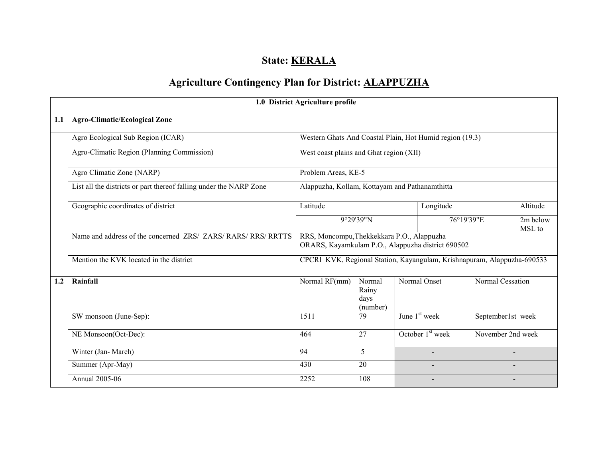# State: **KERALA**

# Agriculture Contingency Plan for District: ALAPPUZHA

|     |                                                                    | 1.0 District Agriculture profile                                                                |                                     |  |                          |                   |                    |  |
|-----|--------------------------------------------------------------------|-------------------------------------------------------------------------------------------------|-------------------------------------|--|--------------------------|-------------------|--------------------|--|
| 1.1 | <b>Agro-Climatic/Ecological Zone</b>                               |                                                                                                 |                                     |  |                          |                   |                    |  |
|     | Agro Ecological Sub Region (ICAR)                                  | Western Ghats And Coastal Plain, Hot Humid region (19.3)                                        |                                     |  |                          |                   |                    |  |
|     | Agro-Climatic Region (Planning Commission)                         | West coast plains and Ghat region (XII)                                                         |                                     |  |                          |                   |                    |  |
|     | Agro Climatic Zone (NARP)                                          | Problem Areas, KE-5                                                                             |                                     |  |                          |                   |                    |  |
|     | List all the districts or part thereof falling under the NARP Zone | Alappuzha, Kollam, Kottayam and Pathanamthitta                                                  |                                     |  |                          |                   |                    |  |
|     | Geographic coordinates of district                                 | Latitude                                                                                        |                                     |  | Longitude                |                   | Altitude           |  |
|     |                                                                    | 9°29'39"N                                                                                       |                                     |  | 76°19'39"E               |                   | 2m below<br>MSL to |  |
|     | Name and address of the concerned ZRS/ ZARS/ RARS/ RRS/ RRTTS      | RRS, Moncompu, Thekkekkara P.O., Alappuzha<br>ORARS, Kayamkulam P.O., Alappuzha district 690502 |                                     |  |                          |                   |                    |  |
|     | Mention the KVK located in the district                            | CPCRI KVK, Regional Station, Kayangulam, Krishnapuram, Alappuzha-690533                         |                                     |  |                          |                   |                    |  |
| 1.2 | Rainfall                                                           | Normal RF(mm)                                                                                   | Normal<br>Rainy<br>days<br>(number) |  | Normal Onset             | Normal Cessation  |                    |  |
|     | SW monsoon (June-Sep):                                             | 1511                                                                                            | 79                                  |  | June $1st$ week          | September1st week |                    |  |
|     | NE Monsoon(Oct-Dec):                                               | 464                                                                                             | 27                                  |  | October $1st$ week       |                   | November 2nd week  |  |
|     | Winter (Jan-March)                                                 | 94                                                                                              | 5                                   |  | $\blacksquare$           |                   |                    |  |
|     | Summer (Apr-May)                                                   | 430                                                                                             | 20                                  |  |                          |                   |                    |  |
|     | Annual 2005-06                                                     | 2252                                                                                            | 108                                 |  | $\overline{\phantom{0}}$ |                   |                    |  |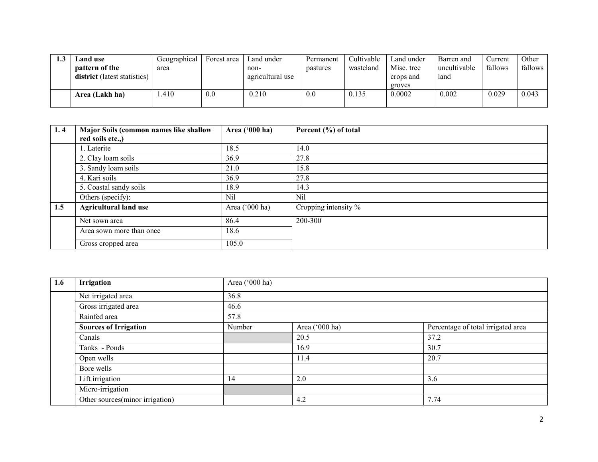| <b>Land use</b>                     | Geographical | Forest area | Land under       | Permanent | Cultivable | Land under | Barren and   | Current | Other   |
|-------------------------------------|--------------|-------------|------------------|-----------|------------|------------|--------------|---------|---------|
| pattern of the                      | area         |             | non-             | pastures  | wasteland  | Misc. tree | uncultivable | fallows | fallows |
| <b>district</b> (latest statistics) |              |             | agricultural use |           |            | crops and  | land         |         |         |
|                                     |              |             |                  |           |            | groves     |              |         |         |
| Area (Lakh ha)                      | .410         | 0.0         | 0.210            | 0.0       | 0.135      | 0.0002     | 0.002        | 0.029   | 0.043   |
|                                     |              |             |                  |           |            |            |              |         |         |

| 1.4 | Major Soils (common names like shallow | Area ('000 ha) | Percent (%) of total |
|-----|----------------------------------------|----------------|----------------------|
|     | red soils etc.,)                       |                |                      |
|     | 1. Laterite                            | 18.5           | 14.0                 |
|     | 2. Clay loam soils                     | 36.9           | 27.8                 |
|     | 3. Sandy loam soils                    | 21.0           | 15.8                 |
|     | 4. Kari soils                          | 36.9           | 27.8                 |
|     | 5. Coastal sandy soils                 | 18.9           | 14.3                 |
|     | Others (specify):                      | Nil            | Nil                  |
| 1.5 | <b>Agricultural land use</b>           | Area ('000 ha) | Cropping intensity % |
|     | Net sown area                          | 86.4           | 200-300              |
|     | Area sown more than once               | 18.6           |                      |
|     | Gross cropped area                     | 105.0          |                      |

| 1.6 | Irrigation                      | Area ('000 ha) |                |                                    |  |  |  |  |  |
|-----|---------------------------------|----------------|----------------|------------------------------------|--|--|--|--|--|
|     | Net irrigated area              | 36.8           |                |                                    |  |  |  |  |  |
|     | Gross irrigated area            | 46.6           |                |                                    |  |  |  |  |  |
|     | Rainfed area                    | 57.8           |                |                                    |  |  |  |  |  |
|     | <b>Sources of Irrigation</b>    | Number         | Area ('000 ha) | Percentage of total irrigated area |  |  |  |  |  |
|     | Canals                          |                | 20.5           | 37.2                               |  |  |  |  |  |
|     | Tanks - Ponds                   |                | 16.9           | 30.7                               |  |  |  |  |  |
|     | Open wells                      |                | 11.4           | 20.7                               |  |  |  |  |  |
|     | Bore wells                      |                |                |                                    |  |  |  |  |  |
|     | Lift irrigation                 | 14             | 2.0            | 3.6                                |  |  |  |  |  |
|     | Micro-irrigation                |                |                |                                    |  |  |  |  |  |
|     | Other sources(minor irrigation) |                | 4.2            | 7.74                               |  |  |  |  |  |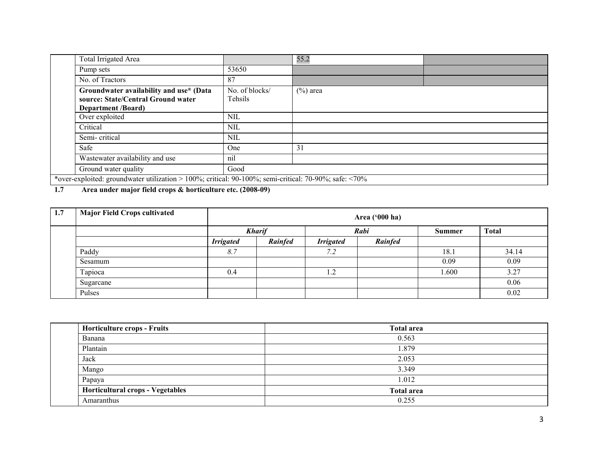| Total Irrigated Area                                                                                        |                           | 55.2        |  |  |  |  |
|-------------------------------------------------------------------------------------------------------------|---------------------------|-------------|--|--|--|--|
| Pump sets                                                                                                   | 53650                     |             |  |  |  |  |
| No. of Tractors                                                                                             | 87                        |             |  |  |  |  |
| Groundwater availability and use* (Data<br>source: State/Central Ground water<br>Department /Board)         | No. of blocks/<br>Tehsils | $(\%)$ area |  |  |  |  |
| Over exploited                                                                                              | <b>NIL</b>                |             |  |  |  |  |
| Critical                                                                                                    | <b>NIL</b>                |             |  |  |  |  |
| Semi-critical                                                                                               | <b>NIL</b>                |             |  |  |  |  |
| Safe                                                                                                        | One                       | 31          |  |  |  |  |
| Wastewater availability and use                                                                             | nil                       |             |  |  |  |  |
| Ground water quality                                                                                        | Good                      |             |  |  |  |  |
| *over-exploited: groundwater utilization > 100%; critical: 90-100%; semi-critical: 70-90%; safe: $\leq$ 70% |                           |             |  |  |  |  |

1.7 Area under major field crops & horticulture etc. (2008-09)

| 1.7 | <b>Major Field Crops cultivated</b> |                  | Area ('000 ha) |                  |         |               |              |  |  |  |
|-----|-------------------------------------|------------------|----------------|------------------|---------|---------------|--------------|--|--|--|
|     |                                     |                  | <b>Kharif</b>  |                  | Rabi    | <b>Summer</b> | <b>Total</b> |  |  |  |
|     |                                     | <b>Irrigated</b> | Rainfed        | <b>Irrigated</b> | Rainfed |               |              |  |  |  |
|     | Paddy                               | 8.7              |                | 7.2              |         | 18.1          | 34.14        |  |  |  |
|     | Sesamum                             |                  |                |                  |         | 0.09          | 0.09         |  |  |  |
|     | Tapioca                             | 0.4              |                | 1.2              |         | 1.600         | 3.27         |  |  |  |
|     | Sugarcane                           |                  |                |                  |         |               | 0.06         |  |  |  |
|     | Pulses                              |                  |                |                  |         |               | 0.02         |  |  |  |

| <b>Horticulture crops - Fruits</b>      | <b>Total area</b> |
|-----------------------------------------|-------------------|
| Banana                                  | 0.563             |
| Plantain                                | 1.879             |
| Jack                                    | 2.053             |
| Mango                                   | 3.349             |
| Papaya                                  | 1.012             |
| <b>Horticultural crops - Vegetables</b> | <b>Total area</b> |
| Amaranthus                              | 0.255             |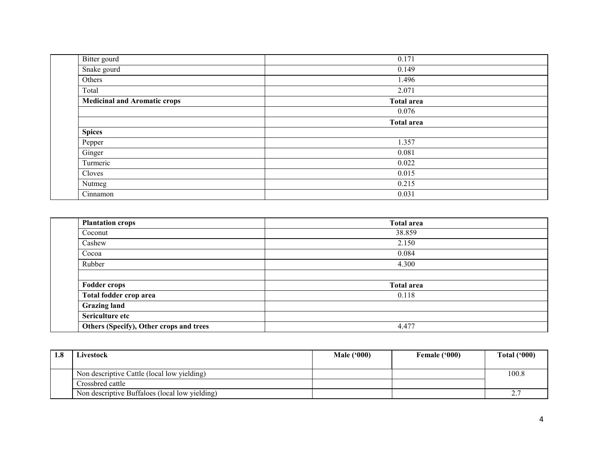| Bitter gourd                        | 0.171             |
|-------------------------------------|-------------------|
| Snake gourd                         | 0.149             |
| Others                              | 1.496             |
| Total                               | 2.071             |
| <b>Medicinal and Aromatic crops</b> | <b>Total area</b> |
|                                     | 0.076             |
|                                     | <b>Total area</b> |
| <b>Spices</b>                       |                   |
| Pepper                              | 1.357             |
| Ginger                              | 0.081             |
| Turmeric                            | 0.022             |
| Cloves                              | 0.015             |
| Nutmeg                              | 0.215             |
| Cinnamon                            | 0.031             |

| <b>Plantation crops</b>                 | <b>Total area</b> |
|-----------------------------------------|-------------------|
| Coconut                                 | 38.859            |
| Cashew                                  | 2.150             |
| Cocoa                                   | 0.084             |
| Rubber                                  | 4.300             |
|                                         |                   |
| <b>Fodder crops</b>                     | <b>Total area</b> |
| Total fodder crop area                  | 0.118             |
| <b>Grazing land</b>                     |                   |
| Sericulture etc                         |                   |
| Others (Specify), Other crops and trees | 4.477             |

| 1.8 | Livestock                                      | <b>Male ('000)</b> | Female ('000) | <b>Total ('000)</b> |
|-----|------------------------------------------------|--------------------|---------------|---------------------|
|     |                                                |                    |               |                     |
|     | Non descriptive Cattle (local low yielding)    |                    |               | 100.8               |
|     | Crossbred cattle                               |                    |               |                     |
|     | Non descriptive Buffaloes (local low yielding) |                    |               | n 5                 |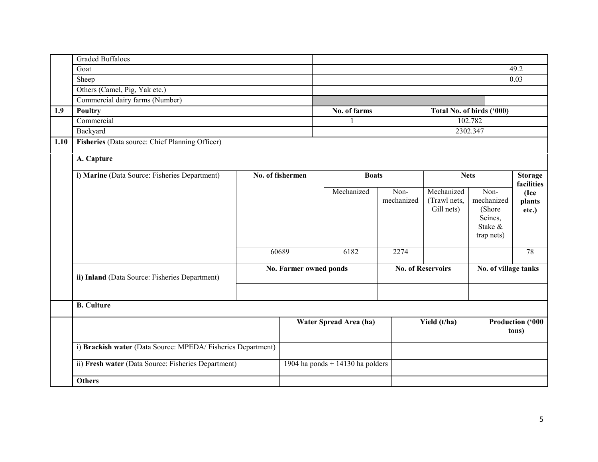|      | <b>Graded Buffaloes</b>                                     |       |                        |                                  |                    |                                          |                           |                                                                                             |  |
|------|-------------------------------------------------------------|-------|------------------------|----------------------------------|--------------------|------------------------------------------|---------------------------|---------------------------------------------------------------------------------------------|--|
|      | Goat                                                        |       |                        |                                  |                    |                                          |                           | 49.2                                                                                        |  |
|      | Sheep                                                       |       |                        |                                  |                    |                                          |                           | 0.03                                                                                        |  |
|      | Others (Camel, Pig, Yak etc.)                               |       |                        |                                  |                    |                                          |                           |                                                                                             |  |
|      | Commercial dairy farms (Number)                             |       |                        |                                  |                    |                                          |                           |                                                                                             |  |
| 1.9  | <b>Poultry</b>                                              |       |                        | No. of farms                     |                    |                                          | Total No. of birds ('000) |                                                                                             |  |
|      | Commercial                                                  |       |                        |                                  |                    |                                          | 102.782                   |                                                                                             |  |
|      | Backyard                                                    |       |                        |                                  |                    |                                          | 2302.347                  |                                                                                             |  |
| 1.10 | Fisheries (Data source: Chief Planning Officer)             |       |                        |                                  |                    |                                          |                           |                                                                                             |  |
|      | A. Capture                                                  |       |                        |                                  |                    |                                          |                           |                                                                                             |  |
|      | i) Marine (Data Source: Fisheries Department)               |       | No. of fishermen       | <b>Boats</b>                     |                    |                                          | <b>Nets</b>               | <b>Storage</b><br>facilities                                                                |  |
|      |                                                             |       |                        | Mechanized                       | Non-<br>mechanized | Mechanized<br>(Trawl nets,<br>Gill nets) |                           | Non-<br>(Ice<br>mechanized<br>plants<br>(Shore<br>etc.)<br>Seines,<br>Stake &<br>trap nets) |  |
|      |                                                             | 60689 |                        | 6182                             | 2274               |                                          |                           | 78                                                                                          |  |
|      | ii) Inland (Data Source: Fisheries Department)              |       | No. Farmer owned ponds |                                  |                    | <b>No. of Reservoirs</b>                 |                           | No. of village tanks                                                                        |  |
|      |                                                             |       |                        |                                  |                    |                                          |                           |                                                                                             |  |
|      | <b>B.</b> Culture                                           |       |                        |                                  |                    |                                          |                           |                                                                                             |  |
|      |                                                             |       |                        | Water Spread Area (ha)           |                    | Yield (t/ha)                             |                           | Production ('000<br>tons)                                                                   |  |
|      | i) Brackish water (Data Source: MPEDA/Fisheries Department) |       |                        |                                  |                    |                                          |                           |                                                                                             |  |
|      | ii) Fresh water (Data Source: Fisheries Department)         |       |                        | 1904 ha ponds + 14130 ha polders |                    |                                          |                           |                                                                                             |  |
|      | <b>Others</b>                                               |       |                        |                                  |                    |                                          |                           |                                                                                             |  |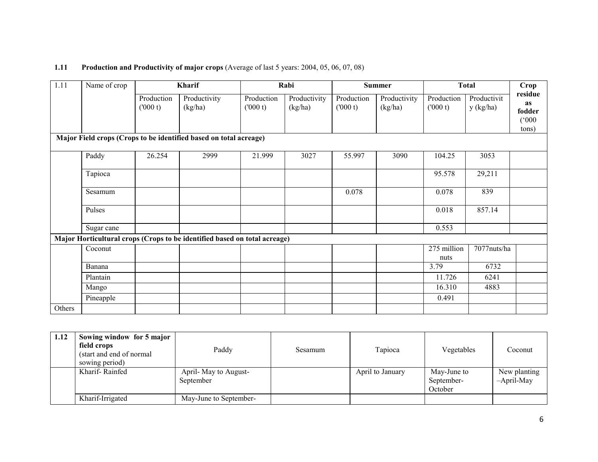## **1.11** Production and Productivity of major crops (Average of last 5 years: 2004, 05, 06, 07, 08)

| 1.11   | Name of crop | Kharif                |                                                                           |                       | Rabi                    |                       | <b>Summer</b>           |                       | <b>Total</b>             |                                                     |
|--------|--------------|-----------------------|---------------------------------------------------------------------------|-----------------------|-------------------------|-----------------------|-------------------------|-----------------------|--------------------------|-----------------------------------------------------|
|        |              | Production<br>(000 t) | Productivity<br>(kg/ha)                                                   | Production<br>(000 t) | Productivity<br>(kg/ha) | Production<br>(000 t) | Productivity<br>(kg/ha) | Production<br>(000 t) | Productivit<br>y (kg/ha) | residue<br>as<br>fodder<br>$(000^{\circ})$<br>tons) |
|        |              |                       | Major Field crops (Crops to be identified based on total acreage)         |                       |                         |                       |                         |                       |                          |                                                     |
|        | Paddy        | 26.254                | 2999                                                                      | 21.999                | 3027                    | 55.997                | 3090                    | 104.25                | 3053                     |                                                     |
|        | Tapioca      |                       |                                                                           |                       |                         |                       |                         | 95.578                | 29,211                   |                                                     |
|        | Sesamum      |                       |                                                                           |                       |                         | 0.078                 |                         | 0.078                 | 839                      |                                                     |
|        | Pulses       |                       |                                                                           |                       |                         |                       |                         | 0.018                 | 857.14                   |                                                     |
|        | Sugar cane   |                       |                                                                           |                       |                         |                       |                         | 0.553                 |                          |                                                     |
|        |              |                       | Major Horticultural crops (Crops to be identified based on total acreage) |                       |                         |                       |                         |                       |                          |                                                     |
|        | Coconut      |                       |                                                                           |                       |                         |                       |                         | 275 million<br>nuts   | 7077nuts/ha              |                                                     |
|        | Banana       |                       |                                                                           |                       |                         |                       |                         | 3.79                  | 6732                     |                                                     |
|        | Plantain     |                       |                                                                           |                       |                         |                       |                         | 11.726                | 6241                     |                                                     |
|        | Mango        |                       |                                                                           |                       |                         |                       |                         | 16.310                | 4883                     |                                                     |
|        | Pineapple    |                       |                                                                           |                       |                         |                       |                         | 0.491                 |                          |                                                     |
| Others |              |                       |                                                                           |                       |                         |                       |                         |                       |                          |                                                     |

| 1.12 | Sowing window for 5 major<br>field crops<br>(start and end of normal)<br>sowing period) | Paddy                             | Sesamum | Tapioca          | Vegetables                           | Coconut                       |
|------|-----------------------------------------------------------------------------------------|-----------------------------------|---------|------------------|--------------------------------------|-------------------------------|
|      | Kharif-Rainfed                                                                          | April-May to August-<br>September |         | April to January | May-June to<br>September-<br>October | New planting<br>$-April$ -May |
|      | Kharif-Irrigated                                                                        | May-June to September-            |         |                  |                                      |                               |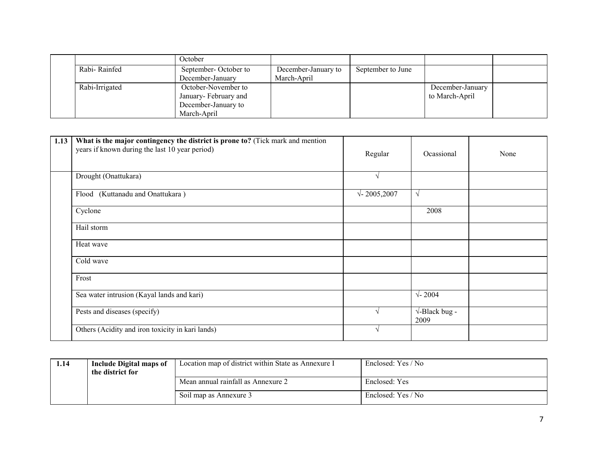|                | October              |                     |                   |                  |  |
|----------------|----------------------|---------------------|-------------------|------------------|--|
| Rabi-Rainfed   | September-October to | December-January to | September to June |                  |  |
|                | December-January     | March-April         |                   |                  |  |
| Rabi-Irrigated | October-November to  |                     |                   | December-January |  |
|                | January-February and |                     |                   | to March-April   |  |
|                | December-January to  |                     |                   |                  |  |
|                | March-April          |                     |                   |                  |  |

| 1.13 | What is the major contingency the district is prone to? (Tick mark and mention<br>years if known during the last 10 year period) | Regular            | Ocassional                           | None |
|------|----------------------------------------------------------------------------------------------------------------------------------|--------------------|--------------------------------------|------|
|      | Drought (Onattukara)                                                                                                             | V                  |                                      |      |
|      | Flood (Kuttanadu and Onattukara)                                                                                                 | $\sqrt{2005,2007}$ | $\sqrt{ }$                           |      |
|      | Cyclone                                                                                                                          |                    | 2008                                 |      |
|      | Hail storm                                                                                                                       |                    |                                      |      |
|      | Heat wave                                                                                                                        |                    |                                      |      |
|      | Cold wave                                                                                                                        |                    |                                      |      |
|      | Frost                                                                                                                            |                    |                                      |      |
|      | Sea water intrusion (Kayal lands and kari)                                                                                       |                    | $\sqrt{-2004}$                       |      |
|      | Pests and diseases (specify)                                                                                                     |                    | $\sqrt{\text{-Black bug}}$ -<br>2009 |      |
|      | Others (Acidity and iron toxicity in kari lands)                                                                                 |                    |                                      |      |

| 1.14 | Include Digital maps of<br>the district for | Location map of district within State as Annexure I | Enclosed: Yes / No |
|------|---------------------------------------------|-----------------------------------------------------|--------------------|
|      |                                             | Mean annual rainfall as Annexure 2                  | Enclosed: Yes      |
|      |                                             | Soil map as Annexure 3                              | Enclosed: Yes / No |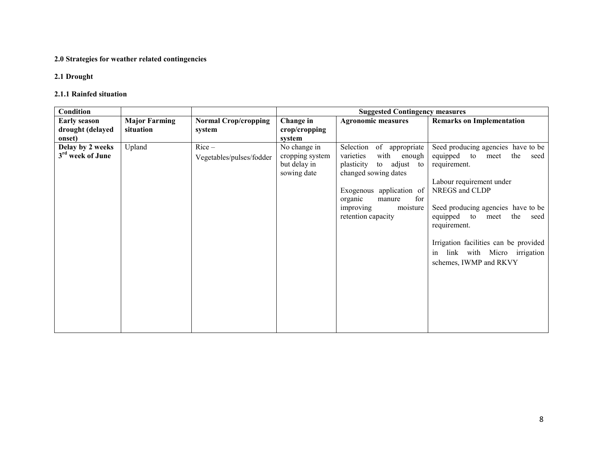#### 2.0 Strategies for weather related contingencies

## 2.1 Drought

#### 2.1.1 Rainfed situation

| Condition                                         |                                   |                                       |                                                                | <b>Suggested Contingency measures</b>                                                                                                                                                                                      |                                                                                                                                                                                                                                                                                                                                              |
|---------------------------------------------------|-----------------------------------|---------------------------------------|----------------------------------------------------------------|----------------------------------------------------------------------------------------------------------------------------------------------------------------------------------------------------------------------------|----------------------------------------------------------------------------------------------------------------------------------------------------------------------------------------------------------------------------------------------------------------------------------------------------------------------------------------------|
| <b>Early season</b><br>drought (delayed<br>onset) | <b>Major Farming</b><br>situation | <b>Normal Crop/cropping</b><br>system | Change in<br>crop/cropping<br>system                           | <b>Agronomic measures</b>                                                                                                                                                                                                  | <b>Remarks on Implementation</b>                                                                                                                                                                                                                                                                                                             |
| Delay by 2 weeks<br>3 <sup>rd</sup> week of June  | Upland                            | $Rice-$<br>Vegetables/pulses/fodder   | No change in<br>cropping system<br>but delay in<br>sowing date | Selection<br>of appropriate<br>with<br>varieties<br>enough<br>to adjust<br>plasticity<br>to<br>changed sowing dates<br>Exogenous application of<br>for<br>organic<br>manure<br>moisture<br>improving<br>retention capacity | Seed producing agencies have to be<br>equipped<br>the<br>to<br>seed<br>meet<br>requirement.<br>Labour requirement under<br>NREGS and CLDP<br>Seed producing agencies have to be<br>the<br>equipped to<br>meet<br>seed<br>requirement.<br>Irrigation facilities can be provided<br>link with Micro irrigation<br>in<br>schemes, IWMP and RKVY |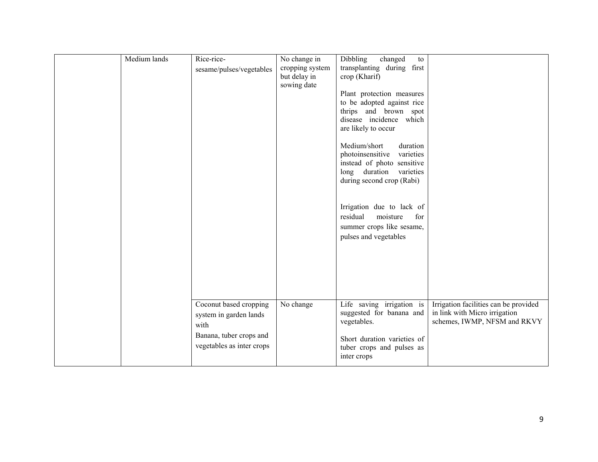| Medium lands | Rice-rice-<br>sesame/pulses/vegetables                                                                           | No change in<br>cropping system<br>but delay in<br>sowing date | <b>Dibbling</b><br>changed<br>to<br>transplanting during first<br>crop (Kharif)<br>Plant protection measures<br>to be adopted against rice<br>thrips and brown spot<br>disease incidence which<br>are likely to occur<br>Medium/short<br>duration<br>photoinsensitive<br>varieties<br>instead of photo sensitive<br>long duration<br>varieties<br>during second crop (Rabi)<br>Irrigation due to lack of<br>residual<br>moisture<br>for<br>summer crops like sesame,<br>pulses and vegetables |                                                                                                        |
|--------------|------------------------------------------------------------------------------------------------------------------|----------------------------------------------------------------|-----------------------------------------------------------------------------------------------------------------------------------------------------------------------------------------------------------------------------------------------------------------------------------------------------------------------------------------------------------------------------------------------------------------------------------------------------------------------------------------------|--------------------------------------------------------------------------------------------------------|
|              | Coconut based cropping<br>system in garden lands<br>with<br>Banana, tuber crops and<br>vegetables as inter crops | No change                                                      | Life saving irrigation is<br>suggested for banana and<br>vegetables.<br>Short duration varieties of<br>tuber crops and pulses as<br>inter crops                                                                                                                                                                                                                                                                                                                                               | Irrigation facilities can be provided<br>in link with Micro irrigation<br>schemes, IWMP, NFSM and RKVY |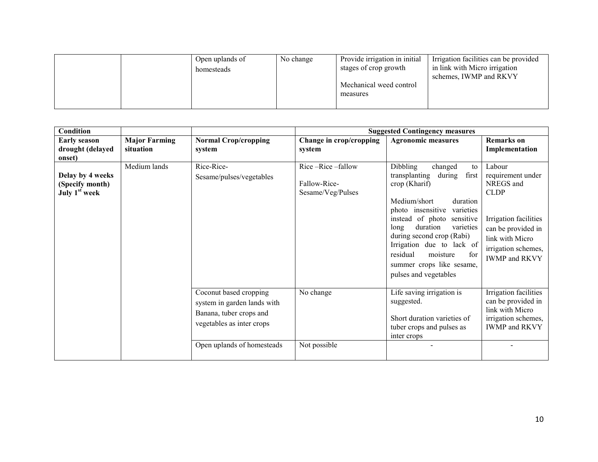|  | Open uplands of<br>homesteads | No change | Provide irrigation in initial<br>stages of crop growth | Irrigation facilities can be provided<br>in link with Micro irrigation |
|--|-------------------------------|-----------|--------------------------------------------------------|------------------------------------------------------------------------|
|  |                               |           | Mechanical weed control<br>measures                    | schemes, IWMP and RKVY                                                 |

| Condition                                                        |                                   |                                                                                                               |                                                       | <b>Suggested Contingency measures</b>                                                                                                                                                                                                                                                                                                                         |                                                                                                                                                                                 |
|------------------------------------------------------------------|-----------------------------------|---------------------------------------------------------------------------------------------------------------|-------------------------------------------------------|---------------------------------------------------------------------------------------------------------------------------------------------------------------------------------------------------------------------------------------------------------------------------------------------------------------------------------------------------------------|---------------------------------------------------------------------------------------------------------------------------------------------------------------------------------|
| <b>Early season</b><br>drought (delayed<br>onset)                | <b>Major Farming</b><br>situation | <b>Normal Crop/cropping</b><br>system                                                                         | Change in crop/cropping<br>system                     | <b>Agronomic measures</b>                                                                                                                                                                                                                                                                                                                                     | <b>Remarks</b> on<br>Implementation                                                                                                                                             |
| Delay by 4 weeks<br>(Specify month)<br>July 1 <sup>st</sup> week | Medium lands                      | Rice-Rice-<br>Sesame/pulses/vegetables                                                                        | Rice-Rice-fallow<br>Fallow-Rice-<br>Sesame/Veg/Pulses | Dibbling<br>changed<br>to<br>first<br>transplanting<br>during<br>crop (Kharif)<br>Medium/short<br>duration<br>photo insensitive<br>varieties<br>of photo sensitive<br>instead<br>duration<br>varieties<br>long<br>during second crop (Rabi)<br>Irrigation due to lack of<br>residual<br>moisture<br>for<br>summer crops like sesame,<br>pulses and vegetables | Labour<br>requirement under<br>NREGS and<br><b>CLDP</b><br>Irrigation facilities<br>can be provided in<br>link with Micro<br>irrigation schemes,<br><b>IWMP</b> and <b>RKVY</b> |
|                                                                  |                                   | Coconut based cropping<br>system in garden lands with<br>Banana, tuber crops and<br>vegetables as inter crops | No change<br>Not possible                             | Life saving irrigation is<br>suggested.<br>Short duration varieties of<br>tuber crops and pulses as<br>inter crops                                                                                                                                                                                                                                            | Irrigation facilities<br>can be provided in<br>link with Micro<br>irrigation schemes,<br><b>IWMP</b> and <b>RKVY</b>                                                            |
|                                                                  |                                   | Open uplands of homesteads                                                                                    |                                                       |                                                                                                                                                                                                                                                                                                                                                               |                                                                                                                                                                                 |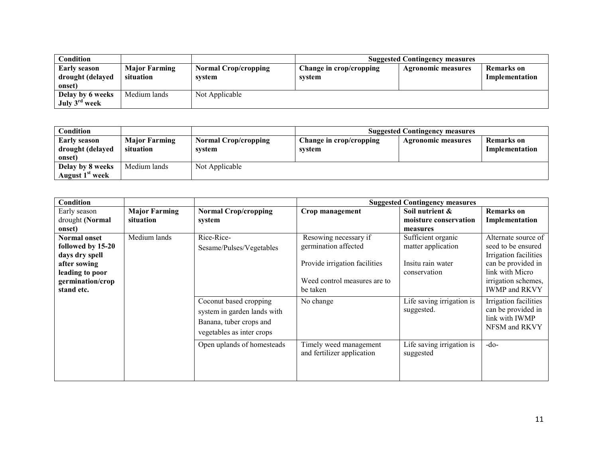| Condition                                     |                                   | <b>Suggested Contingency measures</b> |                                   |                           |                              |
|-----------------------------------------------|-----------------------------------|---------------------------------------|-----------------------------------|---------------------------|------------------------------|
| Early season<br>drought (delayed<br>onset)    | <b>Major Farming</b><br>situation | <b>Normal Crop/cropping</b><br>system | Change in crop/cropping<br>system | <b>Agronomic measures</b> | Remarks on<br>Implementation |
| Delay by 6 weeks<br>July 3 <sup>rd</sup> week | Medium lands                      | Not Applicable                        |                                   |                           |                              |

| Condition                                         |                                   | <b>Suggested Contingency measures</b> |                                   |                    |                              |
|---------------------------------------------------|-----------------------------------|---------------------------------------|-----------------------------------|--------------------|------------------------------|
| <b>Early season</b><br>drought (delayed<br>onset) | <b>Major Farming</b><br>situation | <b>Normal Crop/cropping</b><br>system | Change in crop/cropping<br>system | Agronomic measures | Remarks on<br>Implementation |
| Delay by 8 weeks<br>August 1 <sup>st</sup> week   | Medium lands                      | Not Applicable                        |                                   |                    |                              |

| <b>Condition</b>    |                      |                             |                               | <b>Suggested Contingency measures</b> |                       |
|---------------------|----------------------|-----------------------------|-------------------------------|---------------------------------------|-----------------------|
| Early season        | <b>Major Farming</b> | <b>Normal Crop/cropping</b> | Crop management               | Soil nutrient &                       | <b>Remarks</b> on     |
| drought (Normal     | situation            | system                      |                               | moisture conservation                 | Implementation        |
| onset)              |                      |                             |                               | measures                              |                       |
| <b>Normal onset</b> | Medium lands         | Rice-Rice-                  | Resowing necessary if         | Sufficient organic                    | Alternate source of   |
| followed by 15-20   |                      | Sesame/Pulses/Vegetables    | germination affected          | matter application                    | seed to be ensured    |
| days dry spell      |                      |                             |                               |                                       | Irrigation facilities |
| after sowing        |                      |                             | Provide irrigation facilities | Insitu rain water                     | can be provided in    |
| leading to poor     |                      |                             |                               | conservation                          | link with Micro       |
| germination/crop    |                      |                             | Weed control measures are to  |                                       | irrigation schemes,   |
| stand etc.          |                      |                             | be taken                      |                                       | <b>IWMP</b> and RKVY  |
|                     |                      | Coconut based cropping      | No change                     | Life saving irrigation is             | Irrigation facilities |
|                     |                      | system in garden lands with |                               | suggested.                            | can be provided in    |
|                     |                      | Banana, tuber crops and     |                               |                                       | link with IWMP        |
|                     |                      |                             |                               |                                       | NFSM and RKVY         |
|                     |                      | vegetables as inter crops   |                               |                                       |                       |
|                     |                      | Open uplands of homesteads  | Timely weed management        | Life saving irrigation is             | $-do-$                |
|                     |                      |                             | and fertilizer application    | suggested                             |                       |
|                     |                      |                             |                               |                                       |                       |
|                     |                      |                             |                               |                                       |                       |
|                     |                      |                             |                               |                                       |                       |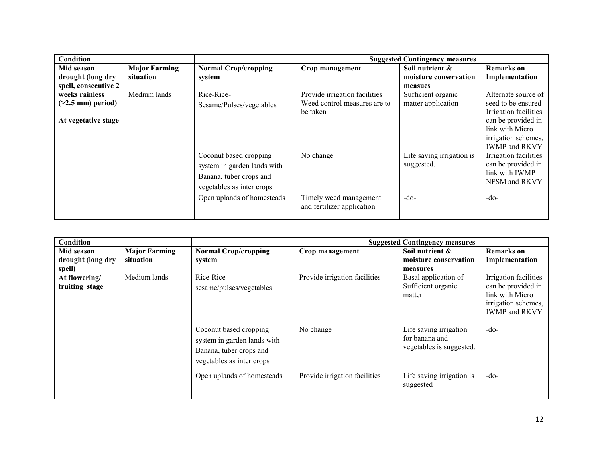| <b>Condition</b>     |                      |                             |                                                      | <b>Suggested Contingency measures</b> |                       |
|----------------------|----------------------|-----------------------------|------------------------------------------------------|---------------------------------------|-----------------------|
| Mid season           | <b>Major Farming</b> | <b>Normal Crop/cropping</b> | Crop management                                      | Soil nutrient $\&$                    | <b>Remarks</b> on     |
| drought (long dry    | situation            | system                      |                                                      | moisture conservation                 | Implementation        |
| spell, consecutive 2 |                      |                             |                                                      | measues                               |                       |
| weeks rainless       | Medium lands         | Rice-Rice-                  | Provide irrigation facilities                        | Sufficient organic                    | Alternate source of   |
| $(>2.5$ mm) period)  |                      | Sesame/Pulses/vegetables    | Weed control measures are to                         | matter application                    | seed to be ensured    |
|                      |                      |                             | be taken                                             |                                       | Irrigation facilities |
| At vegetative stage  |                      |                             |                                                      |                                       | can be provided in    |
|                      |                      |                             |                                                      |                                       | link with Micro       |
|                      |                      |                             |                                                      |                                       | irrigation schemes,   |
|                      |                      |                             |                                                      |                                       | <b>IWMP</b> and RKVY  |
|                      |                      | Coconut based cropping      | No change                                            | Life saving irrigation is             | Irrigation facilities |
|                      |                      | system in garden lands with |                                                      | suggested.                            | can be provided in    |
|                      |                      | Banana, tuber crops and     |                                                      |                                       | link with IWMP        |
|                      |                      | vegetables as inter crops   |                                                      |                                       | NFSM and RKVY         |
|                      |                      |                             |                                                      |                                       |                       |
|                      |                      | Open uplands of homesteads  | Timely weed management<br>and fertilizer application | $-do-$                                | $-do-$                |
|                      |                      |                             |                                                      |                                       |                       |

| <b>Condition</b>                          |                                   |                                                                                                               |                               | <b>Suggested Contingency measures</b>                                |                                                                                                               |
|-------------------------------------------|-----------------------------------|---------------------------------------------------------------------------------------------------------------|-------------------------------|----------------------------------------------------------------------|---------------------------------------------------------------------------------------------------------------|
| Mid season<br>drought (long dry<br>spell) | <b>Major Farming</b><br>situation | <b>Normal Crop/cropping</b><br>system                                                                         | Crop management               | Soil nutrient &<br>moisture conservation<br>measures                 | <b>Remarks</b> on<br>Implementation                                                                           |
| At flowering/<br>fruiting stage           | Medium lands                      | Rice-Rice-<br>sesame/pulses/vegetables                                                                        | Provide irrigation facilities | Basal application of<br>Sufficient organic<br>matter                 | Irrigation facilities<br>can be provided in<br>link with Micro<br>irrigation schemes,<br><b>IWMP</b> and RKVY |
|                                           |                                   | Coconut based cropping<br>system in garden lands with<br>Banana, tuber crops and<br>vegetables as inter crops | No change                     | Life saving irrigation<br>for banana and<br>vegetables is suggested. | $-do-$                                                                                                        |
|                                           |                                   | Open uplands of homesteads                                                                                    | Provide irrigation facilities | Life saving irrigation is<br>suggested                               | $-do-$                                                                                                        |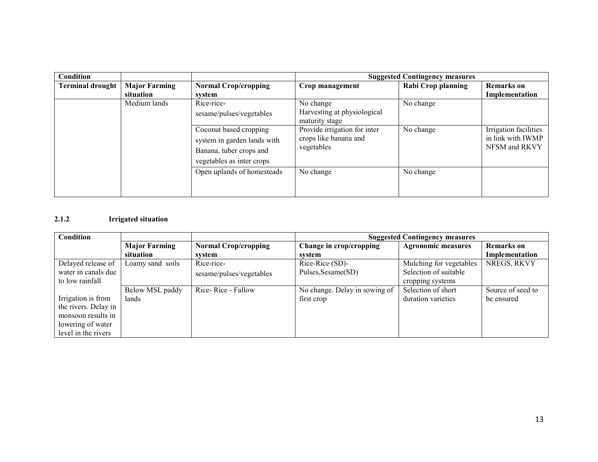| Condition               |                             |                             | <b>Suggested Contingency measures</b>         |                    |                       |
|-------------------------|-----------------------------|-----------------------------|-----------------------------------------------|--------------------|-----------------------|
| <b>Terminal drought</b> | <b>Major Farming</b>        | <b>Normal Crop/cropping</b> | Crop management                               | Rabi Crop planning | <b>Remarks</b> on     |
|                         | situation                   | system                      |                                               |                    | Implementation        |
|                         | Medium lands                | Rice-rice-                  | No change                                     | No change          |                       |
|                         |                             | sesame/pulses/vegetables    | Harvesting at physiological<br>maturity stage |                    |                       |
|                         |                             | Coconut based cropping      | Provide irrigation for inter                  | No change          | Irrigation facilities |
|                         | system in garden lands with |                             | crops like banana and                         |                    | in link with IWMP     |
|                         |                             | Banana, tuber crops and     | vegetables                                    |                    | NFSM and RKVY         |
|                         |                             | vegetables as inter crops   |                                               |                    |                       |
|                         |                             | Open uplands of homesteads  | No change                                     | No change          |                       |
|                         |                             |                             |                                               |                    |                       |
|                         |                             |                             |                                               |                    |                       |

## 2.1.2 Irrigated situation

| Condition            |                      |                             | <b>Suggested Contingency measures</b> |                           |                   |
|----------------------|----------------------|-----------------------------|---------------------------------------|---------------------------|-------------------|
|                      | <b>Major Farming</b> | <b>Normal Crop/cropping</b> | Change in crop/cropping               | <b>Agronomic measures</b> | <b>Remarks</b> on |
|                      | situation            | system                      | system                                |                           | Implementation    |
| Delayed release of   | Loamy sand soils     | Rice-rice-                  | Rice-Rice (SD)-                       | Mulching for vegetables   | NREGS, RKVY       |
| water in canals due  |                      | sesame/pulses/vegetables    | Pulses, Sesame(SD)                    | Selection of suitable     |                   |
| to low rainfall      |                      |                             |                                       | cropping systems          |                   |
|                      | Below MSL paddy      | Rice-Rice - Fallow          | No change. Delay in sowing of         | Selection of short        | Source of seed to |
| Irrigation is from   | lands                |                             | first crop                            | duration varieties        | be ensured        |
| the rivers. Delay in |                      |                             |                                       |                           |                   |
| monsoon results in   |                      |                             |                                       |                           |                   |
| lowering of water    |                      |                             |                                       |                           |                   |
| level in the rivers  |                      |                             |                                       |                           |                   |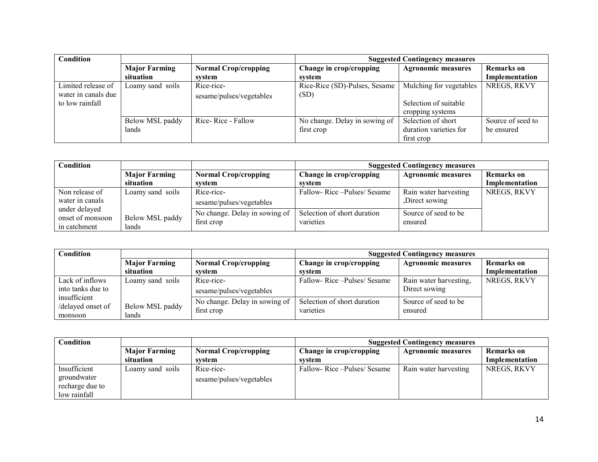| Condition           |                      |                             | <b>Suggested Contingency measures</b> |                           |                   |
|---------------------|----------------------|-----------------------------|---------------------------------------|---------------------------|-------------------|
|                     | <b>Major Farming</b> | <b>Normal Crop/cropping</b> | Change in crop/cropping               | <b>Agronomic measures</b> | <b>Remarks</b> on |
|                     | situation            | system                      | system                                |                           | Implementation    |
| Limited release of  | Loamy sand soils     | Rice-rice-                  | Rice-Rice (SD)-Pulses, Sesame         | Mulching for vegetables   | NREGS, RKVY       |
| water in canals due |                      | sesame/pulses/vegetables    | (SD)                                  |                           |                   |
| to low rainfall     |                      |                             |                                       | Selection of suitable     |                   |
|                     |                      |                             |                                       | cropping systems          |                   |
|                     | Below MSL paddy      | Rice-Rice - Fallow          | No change. Delay in sowing of         | Selection of short        | Source of seed to |
|                     | lands                |                             | first crop                            | duration varieties for    | be ensured        |
|                     |                      |                             |                                       | first crop                |                   |

| Condition                                         |                          |                                             | <b>Suggested Contingency measures</b>    |                                        |                   |
|---------------------------------------------------|--------------------------|---------------------------------------------|------------------------------------------|----------------------------------------|-------------------|
|                                                   | <b>Major Farming</b>     | <b>Normal Crop/cropping</b>                 | Change in crop/cropping                  | <b>Agronomic measures</b>              | <b>Remarks</b> on |
|                                                   | situation                | system                                      | svstem                                   |                                        | Implementation    |
| Non release of<br>water in canals                 | Loamy sand soils         | Rice-rice-<br>sesame/pulses/vegetables      | Fallow-Rice - Pulses/Sesame              | Rain water harvesting<br>Direct sowing | NREGS, RKVY       |
| under delayed<br>onset of monsoon<br>in catchment | Below MSL paddy<br>lands | No change. Delay in sowing of<br>first crop | Selection of short duration<br>varieties | Source of seed to be<br>ensured        |                   |

| Condition         |                      |                               | <b>Suggested Contingency measures</b> |                           |                   |
|-------------------|----------------------|-------------------------------|---------------------------------------|---------------------------|-------------------|
|                   | <b>Major Farming</b> | <b>Normal Crop/cropping</b>   | Change in crop/cropping               | <b>Agronomic measures</b> | <b>Remarks</b> on |
|                   | situation            | system                        | system                                |                           | Implementation    |
| Lack of inflows   | Loamy sand soils     | Rice-rice-                    | Fallow-Rice-Pulses/Sesame             | Rain water harvesting,    | NREGS, RKVY       |
| into tanks due to |                      | sesame/pulses/vegetables      |                                       | Direct sowing             |                   |
| insufficient      |                      | No change. Delay in sowing of | Selection of short duration           | Source of seed to be      |                   |
| /delayed onset of | Below MSL paddy      | first crop                    | varieties                             | ensured                   |                   |
| monsoon           | lands                |                               |                                       |                           |                   |

| <b>Condition</b> |                      |                             | <b>Suggested Contingency measures</b>                |                       |                   |  |
|------------------|----------------------|-----------------------------|------------------------------------------------------|-----------------------|-------------------|--|
|                  | <b>Major Farming</b> | <b>Normal Crop/cropping</b> | Change in crop/cropping<br><b>Agronomic measures</b> |                       | <b>Remarks</b> on |  |
|                  | situation            | system                      | system                                               |                       | Implementation    |  |
| Insufficient     | Loamy sand soils     | Rice-rice-                  | Fallow-Rice-Pulses/Sesame                            | Rain water harvesting | NREGS, RKVY       |  |
| groundwater      |                      | sesame/pulses/vegetables    |                                                      |                       |                   |  |
| recharge due to  |                      |                             |                                                      |                       |                   |  |
| low rainfall     |                      |                             |                                                      |                       |                   |  |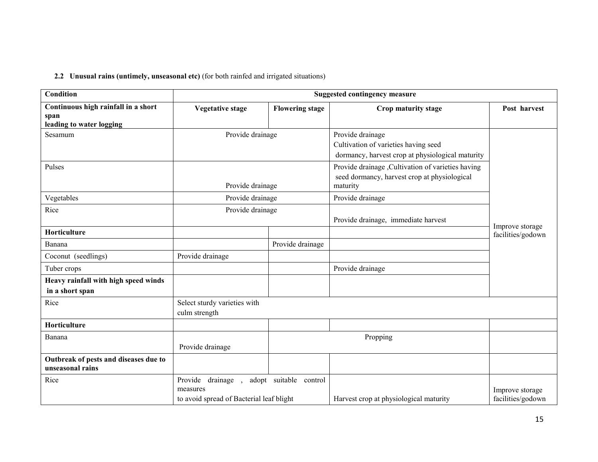## 2.2 Unusual rains (untimely, unseasonal etc) (for both rainfed and irrigated situations)

| <b>Condition</b>                                                        | <b>Suggested contingency measure</b>                                      |                        |                                                                                                                |                                      |
|-------------------------------------------------------------------------|---------------------------------------------------------------------------|------------------------|----------------------------------------------------------------------------------------------------------------|--------------------------------------|
| Continuous high rainfall in a short<br>span<br>leading to water logging | <b>Vegetative stage</b>                                                   | <b>Flowering stage</b> | Crop maturity stage                                                                                            | Post harvest                         |
| Sesamum                                                                 | Provide drainage                                                          |                        | Provide drainage<br>Cultivation of varieties having seed<br>dormancy, harvest crop at physiological maturity   |                                      |
| Pulses                                                                  | Provide drainage                                                          |                        | Provide drainage , Cultivation of varieties having<br>seed dormancy, harvest crop at physiological<br>maturity |                                      |
| Vegetables                                                              | Provide drainage                                                          |                        | Provide drainage                                                                                               |                                      |
| Rice                                                                    | Provide drainage                                                          |                        | Provide drainage, immediate harvest                                                                            |                                      |
| Horticulture                                                            |                                                                           |                        |                                                                                                                | Improve storage<br>facilities/godown |
| Banana                                                                  |                                                                           | Provide drainage       |                                                                                                                |                                      |
| Coconut (seedlings)                                                     | Provide drainage                                                          |                        |                                                                                                                |                                      |
| Tuber crops                                                             |                                                                           |                        | Provide drainage                                                                                               |                                      |
| Heavy rainfall with high speed winds<br>in a short span                 |                                                                           |                        |                                                                                                                |                                      |
| Rice                                                                    | Select sturdy varieties with<br>culm strength                             |                        |                                                                                                                |                                      |
| Horticulture                                                            |                                                                           |                        |                                                                                                                |                                      |
| Banana                                                                  | Provide drainage                                                          |                        | Propping                                                                                                       |                                      |
| Outbreak of pests and diseases due to<br>unseasonal rains               |                                                                           |                        |                                                                                                                |                                      |
| Rice                                                                    | Provide drainage,<br>measures<br>to avoid spread of Bacterial leaf blight | adopt suitable control | Harvest crop at physiological maturity                                                                         | Improve storage<br>facilities/godown |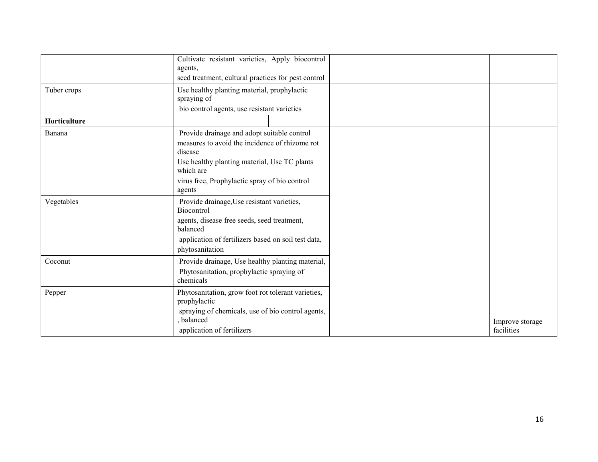|              | Cultivate resistant varieties, Apply biocontrol                                                                                                                                                                                  |                               |
|--------------|----------------------------------------------------------------------------------------------------------------------------------------------------------------------------------------------------------------------------------|-------------------------------|
|              | agents,<br>seed treatment, cultural practices for pest control                                                                                                                                                                   |                               |
| Tuber crops  | Use healthy planting material, prophylactic<br>spraying of<br>bio control agents, use resistant varieties                                                                                                                        |                               |
| Horticulture |                                                                                                                                                                                                                                  |                               |
| Banana       | Provide drainage and adopt suitable control<br>measures to avoid the incidence of rhizome rot<br>disease<br>Use healthy planting material, Use TC plants<br>which are<br>virus free, Prophylactic spray of bio control<br>agents |                               |
| Vegetables   | Provide drainage, Use resistant varieties,<br>Biocontrol<br>agents, disease free seeds, seed treatment,<br>balanced<br>application of fertilizers based on soil test data,<br>phytosanitation                                    |                               |
| Coconut      | Provide drainage, Use healthy planting material,<br>Phytosanitation, prophylactic spraying of<br>chemicals                                                                                                                       |                               |
| Pepper       | Phytosanitation, grow foot rot tolerant varieties,<br>prophylactic<br>spraying of chemicals, use of bio control agents,<br>, balanced<br>application of fertilizers                                                              | Improve storage<br>facilities |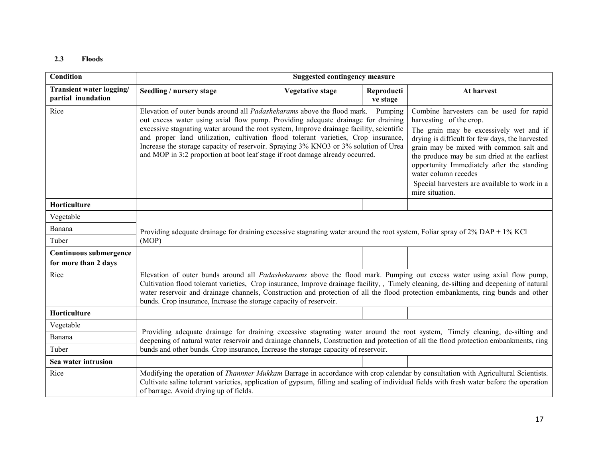#### 2.3 Floods

| <b>Condition</b>                               |                                                                                                                                                                                                                                                                                                                                                                                                                                                                                                                              | <b>Suggested contingency measure</b> |                        |                                                                                                                                                                                                                                                                                                                                                                                                        |  |  |
|------------------------------------------------|------------------------------------------------------------------------------------------------------------------------------------------------------------------------------------------------------------------------------------------------------------------------------------------------------------------------------------------------------------------------------------------------------------------------------------------------------------------------------------------------------------------------------|--------------------------------------|------------------------|--------------------------------------------------------------------------------------------------------------------------------------------------------------------------------------------------------------------------------------------------------------------------------------------------------------------------------------------------------------------------------------------------------|--|--|
| Transient water logging/<br>partial inundation | Seedling / nursery stage                                                                                                                                                                                                                                                                                                                                                                                                                                                                                                     | <b>Vegetative stage</b>              | Reproducti<br>ve stage | At harvest                                                                                                                                                                                                                                                                                                                                                                                             |  |  |
| Rice                                           | Elevation of outer bunds around all <i>Padashekarams</i> above the flood mark.<br>out excess water using axial flow pump. Providing adequate drainage for draining<br>excessive stagnating water around the root system, Improve drainage facility, scientific<br>and proper land utilization, cultivation flood tolerant varieties, Crop insurance,<br>Increase the storage capacity of reservoir. Spraying 3% KNO3 or 3% solution of Urea<br>and MOP in 3:2 proportion at boot leaf stage if root damage already occurred. |                                      | Pumping                | Combine harvesters can be used for rapid<br>harvesting of the crop.<br>The grain may be excessively wet and if<br>drying is difficult for few days, the harvested<br>grain may be mixed with common salt and<br>the produce may be sun dried at the earliest<br>opportunity Immediately after the standing<br>water column recedes<br>Special harvesters are available to work in a<br>mire situation. |  |  |
| Horticulture                                   |                                                                                                                                                                                                                                                                                                                                                                                                                                                                                                                              |                                      |                        |                                                                                                                                                                                                                                                                                                                                                                                                        |  |  |
| Vegetable                                      |                                                                                                                                                                                                                                                                                                                                                                                                                                                                                                                              |                                      |                        |                                                                                                                                                                                                                                                                                                                                                                                                        |  |  |
| Banana                                         |                                                                                                                                                                                                                                                                                                                                                                                                                                                                                                                              |                                      |                        | Providing adequate drainage for draining excessive stagnating water around the root system, Foliar spray of 2% DAP + 1% KCl                                                                                                                                                                                                                                                                            |  |  |
| Tuber                                          | (MOP)                                                                                                                                                                                                                                                                                                                                                                                                                                                                                                                        |                                      |                        |                                                                                                                                                                                                                                                                                                                                                                                                        |  |  |
| Continuous submergence<br>for more than 2 days |                                                                                                                                                                                                                                                                                                                                                                                                                                                                                                                              |                                      |                        |                                                                                                                                                                                                                                                                                                                                                                                                        |  |  |
| Rice                                           | Elevation of outer bunds around all <i>Padashekarams</i> above the flood mark. Pumping out excess water using axial flow pump,<br>Cultivation flood tolerant varieties, Crop insurance, Improve drainage facility,, Timely cleaning, de-silting and deepening of natural<br>water reservoir and drainage channels, Construction and protection of all the flood protection embankments, ring bunds and other<br>bunds. Crop insurance, Increase the storage capacity of reservoir.                                           |                                      |                        |                                                                                                                                                                                                                                                                                                                                                                                                        |  |  |
| Horticulture                                   |                                                                                                                                                                                                                                                                                                                                                                                                                                                                                                                              |                                      |                        |                                                                                                                                                                                                                                                                                                                                                                                                        |  |  |
| Vegetable                                      |                                                                                                                                                                                                                                                                                                                                                                                                                                                                                                                              |                                      |                        |                                                                                                                                                                                                                                                                                                                                                                                                        |  |  |
| Banana                                         | Providing adequate drainage for draining excessive stagnating water around the root system, Timely cleaning, de-silting and<br>deepening of natural water reservoir and drainage channels, Construction and protection of all the flood protection embankments, ring                                                                                                                                                                                                                                                         |                                      |                        |                                                                                                                                                                                                                                                                                                                                                                                                        |  |  |
| Tuber                                          | bunds and other bunds. Crop insurance, Increase the storage capacity of reservoir.                                                                                                                                                                                                                                                                                                                                                                                                                                           |                                      |                        |                                                                                                                                                                                                                                                                                                                                                                                                        |  |  |
| Sea water intrusion                            |                                                                                                                                                                                                                                                                                                                                                                                                                                                                                                                              |                                      |                        |                                                                                                                                                                                                                                                                                                                                                                                                        |  |  |
| Rice                                           | of barrage. Avoid drying up of fields.                                                                                                                                                                                                                                                                                                                                                                                                                                                                                       |                                      |                        | Modifying the operation of <i>Thannner Mukkam</i> Barrage in accordance with crop calendar by consultation with Agricultural Scientists.<br>Cultivate saline tolerant varieties, application of gypsum, filling and sealing of individual fields with fresh water before the operation                                                                                                                 |  |  |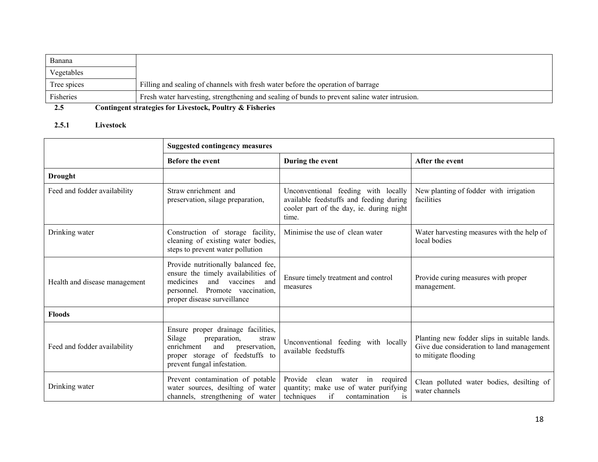| Banana      |                                                                                               |
|-------------|-----------------------------------------------------------------------------------------------|
| Vegetables  |                                                                                               |
| Tree spices | Filling and sealing of channels with fresh water before the operation of barrage              |
| Fisheries   | Fresh water harvesting, strengthening and sealing of bunds to prevent saline water intrusion. |
| 2.5         | Contingent strategies for Livestock, Poultry & Fisheries                                      |

#### 2.5.1 Livestock

|                               | <b>Suggested contingency measures</b>                                                                                                                                         |                                                                                                                                     |                                                                                                                   |  |
|-------------------------------|-------------------------------------------------------------------------------------------------------------------------------------------------------------------------------|-------------------------------------------------------------------------------------------------------------------------------------|-------------------------------------------------------------------------------------------------------------------|--|
|                               | <b>Before the event</b>                                                                                                                                                       | During the event                                                                                                                    | After the event                                                                                                   |  |
| <b>Drought</b>                |                                                                                                                                                                               |                                                                                                                                     |                                                                                                                   |  |
| Feed and fodder availability  | Straw enrichment and<br>preservation, silage preparation,                                                                                                                     | Unconventional feeding with locally<br>available feedstuffs and feeding during<br>cooler part of the day, ie. during night<br>time. | New planting of fodder with irrigation<br>facilities                                                              |  |
| Drinking water                | Construction of storage facility,<br>cleaning of existing water bodies,<br>steps to prevent water pollution                                                                   | Minimise the use of clean water                                                                                                     | Water harvesting measures with the help of<br>local bodies                                                        |  |
| Health and disease management | Provide nutritionally balanced fee,<br>ensure the timely availabilities of<br>medicines<br>and vaccines and<br>personnel. Promote vaccination,<br>proper disease surveillance | Ensure timely treatment and control<br>measures                                                                                     | Provide curing measures with proper<br>management.                                                                |  |
| <b>Floods</b>                 |                                                                                                                                                                               |                                                                                                                                     |                                                                                                                   |  |
| Feed and fodder availability  | Ensure proper drainage facilities,<br>Silage<br>preparation,<br>straw<br>enrichment<br>and<br>preservation,<br>proper storage of feedstuffs to<br>prevent fungal infestation. | Unconventional feeding with locally<br>available feedstuffs                                                                         | Planting new fodder slips in suitable lands.<br>Give due consideration to land management<br>to mitigate flooding |  |
| Drinking water                | Prevent contamination of potable<br>water sources, desilting of water<br>channels, strengthening of water                                                                     | Provide<br>clean water in required<br>quantity; make use of water purifying<br>techniques<br>if<br>contamination<br>1S              | Clean polluted water bodies, desilting of<br>water channels                                                       |  |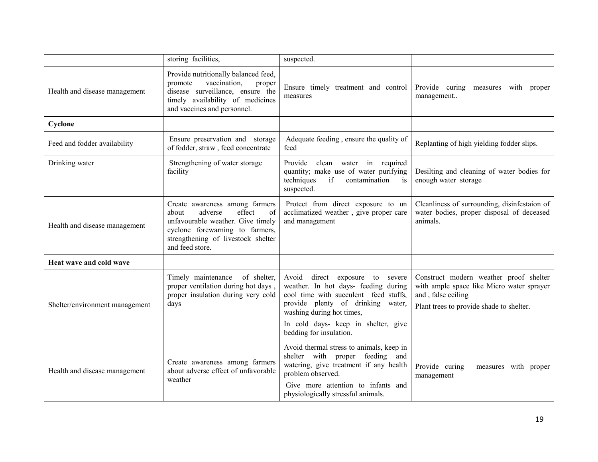|                                | storing facilities,                                                                                                                                                                                         | suspected.                                                                                                                                                                                                                                           |                                                                                                                                                       |  |  |
|--------------------------------|-------------------------------------------------------------------------------------------------------------------------------------------------------------------------------------------------------------|------------------------------------------------------------------------------------------------------------------------------------------------------------------------------------------------------------------------------------------------------|-------------------------------------------------------------------------------------------------------------------------------------------------------|--|--|
| Health and disease management  | Provide nutritionally balanced feed,<br>vaccination,<br>promote<br>proper<br>disease surveillance, ensure the<br>timely availability of medicines<br>and vaccines and personnel.                            | Ensure timely treatment and control<br>measures                                                                                                                                                                                                      | Provide curing measures with proper<br>management                                                                                                     |  |  |
| Cyclone                        |                                                                                                                                                                                                             |                                                                                                                                                                                                                                                      |                                                                                                                                                       |  |  |
| Feed and fodder availability   | Ensure preservation and storage<br>of fodder, straw, feed concentrate                                                                                                                                       | Adequate feeding, ensure the quality of<br>feed                                                                                                                                                                                                      | Replanting of high yielding fodder slips.                                                                                                             |  |  |
| Drinking water                 | Strengthening of water storage<br>facility                                                                                                                                                                  | Provide clean water in required<br>quantity; make use of water purifying<br>techniques<br>if<br>contamination<br>is<br>suspected.                                                                                                                    | Desilting and cleaning of water bodies for<br>enough water storage                                                                                    |  |  |
| Health and disease management  | Create awareness among farmers<br>adverse<br>effect<br>$\alpha$ f<br>about<br>unfavourable weather. Give timely<br>cyclone forewarning to farmers,<br>strengthening of livestock shelter<br>and feed store. | Protect from direct exposure to un<br>acclimatized weather, give proper care<br>and management                                                                                                                                                       | Cleanliness of surrounding, disinfestaion of<br>water bodies, proper disposal of deceased<br>animals.                                                 |  |  |
| Heat wave and cold wave        |                                                                                                                                                                                                             |                                                                                                                                                                                                                                                      |                                                                                                                                                       |  |  |
| Shelter/environment management | Timely maintenance<br>of shelter,<br>proper ventilation during hot days,<br>proper insulation during very cold<br>days                                                                                      | Avoid direct exposure to severe<br>weather. In hot days- feeding during<br>cool time with succulent feed stuffs,<br>provide plenty of drinking water,<br>washing during hot times,<br>In cold days- keep in shelter, give<br>bedding for insulation. | Construct modern weather proof shelter<br>with ample space like Micro water sprayer<br>and, false ceiling<br>Plant trees to provide shade to shelter. |  |  |
|                                |                                                                                                                                                                                                             |                                                                                                                                                                                                                                                      |                                                                                                                                                       |  |  |
| Health and disease management  | Create awareness among farmers<br>about adverse effect of unfavorable<br>weather                                                                                                                            | Avoid thermal stress to animals, keep in<br>shelter with proper feeding and<br>watering, give treatment if any health<br>problem observed.<br>Give more attention to infants and<br>physiologically stressful animals.                               | Provide curing<br>measures with proper<br>management                                                                                                  |  |  |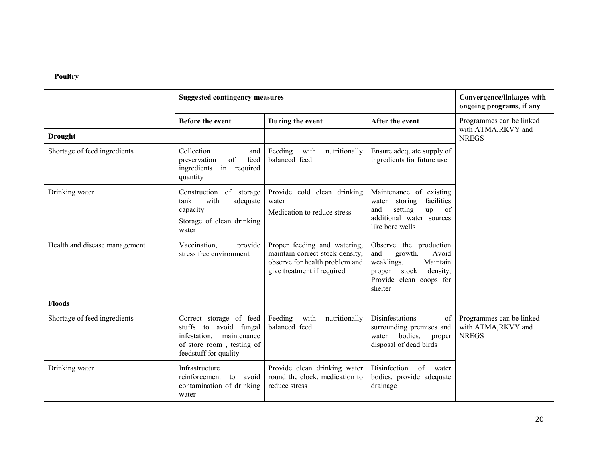## Poultry

|                                                                                                                                                                           | <b>Suggested contingency measures</b>                                                                                                                                                 |                                                                                                                                                                       |                                                                                                                                                  | Convergence/linkages with<br>ongoing programs, if any           |  |
|---------------------------------------------------------------------------------------------------------------------------------------------------------------------------|---------------------------------------------------------------------------------------------------------------------------------------------------------------------------------------|-----------------------------------------------------------------------------------------------------------------------------------------------------------------------|--------------------------------------------------------------------------------------------------------------------------------------------------|-----------------------------------------------------------------|--|
|                                                                                                                                                                           | <b>Before the event</b>                                                                                                                                                               | During the event                                                                                                                                                      | After the event                                                                                                                                  | Programmes can be linked<br>with ATMA,RKVY and<br><b>NREGS</b>  |  |
| <b>Drought</b>                                                                                                                                                            |                                                                                                                                                                                       |                                                                                                                                                                       |                                                                                                                                                  |                                                                 |  |
| Shortage of feed ingredients                                                                                                                                              | Collection<br>and<br>of<br>feed<br>preservation<br>in required<br>ingredients<br>quantity                                                                                             | Feeding<br>with<br>nutritionally<br>balanced feed                                                                                                                     | Ensure adequate supply of<br>ingredients for future use                                                                                          |                                                                 |  |
| Drinking water                                                                                                                                                            | Construction of storage<br>tank<br>with<br>adequate<br>capacity<br>Storage of clean drinking<br>water                                                                                 | Provide cold clean drinking<br>Maintenance of existing<br>water storing<br>water<br>and<br>Medication to reduce stress<br>additional water sources<br>like bore wells |                                                                                                                                                  |                                                                 |  |
| Health and disease management                                                                                                                                             | Proper feeding and watering,<br>Vaccination,<br>provide<br>stress free environment<br>maintain correct stock density,<br>observe for health problem and<br>give treatment if required |                                                                                                                                                                       | Observe the production<br>and<br>growth.<br>Avoid<br>weaklings.<br>Maintain<br>density,<br>proper<br>stock<br>Provide clean coops for<br>shelter |                                                                 |  |
| <b>Floods</b>                                                                                                                                                             |                                                                                                                                                                                       |                                                                                                                                                                       |                                                                                                                                                  |                                                                 |  |
| Correct storage of feed<br>Shortage of feed ingredients<br>stuffs to<br>avoid fungal<br>maintenance<br>infestation,<br>of store room, testing of<br>feedstuff for quality |                                                                                                                                                                                       | Feeding<br>with<br>nutritionally<br>balanced feed                                                                                                                     | Disinfestations<br>of<br>surrounding premises and<br>bodies,<br>water<br>proper<br>disposal of dead birds                                        | Programmes can be linked<br>with ATMA, RKVY and<br><b>NREGS</b> |  |
| Drinking water                                                                                                                                                            | Infrastructure<br>Provide clean drinking water<br>round the clock, medication to<br>reinforcement<br>avoid<br>to<br>contamination of drinking<br>reduce stress<br>water               |                                                                                                                                                                       | Disinfection<br>of water<br>bodies, provide adequate<br>drainage                                                                                 |                                                                 |  |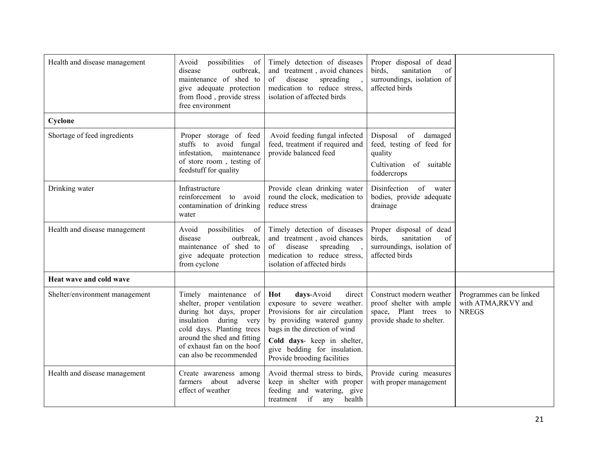| Health and disease management  | possibilities<br>Avoid<br>of<br>outbreak,<br>disease<br>maintenance of shed to<br>give adequate protection<br>from flood, provide stress<br>free environment                                                                   | Timely detection of diseases<br>and treatment, avoid chances<br>of<br>disease<br>spreading<br>medication to reduce stress,<br>isolation of affected birds                                                                                                 | Proper disposal of dead<br>birds,<br>sanitation<br>of<br>surroundings, isolation of<br>affected birds       |                                                                |
|--------------------------------|--------------------------------------------------------------------------------------------------------------------------------------------------------------------------------------------------------------------------------|-----------------------------------------------------------------------------------------------------------------------------------------------------------------------------------------------------------------------------------------------------------|-------------------------------------------------------------------------------------------------------------|----------------------------------------------------------------|
| Cyclone                        |                                                                                                                                                                                                                                |                                                                                                                                                                                                                                                           |                                                                                                             |                                                                |
| Shortage of feed ingredients   | Proper storage of feed<br>stuffs to avoid fungal<br>maintenance<br>infestation,<br>of store room, testing of<br>feedstuff for quality                                                                                          | Avoid feeding fungal infected<br>feed, treatment if required and<br>provide balanced feed                                                                                                                                                                 | Disposal<br>of<br>damaged<br>feed, testing of feed for<br>quality<br>Cultivation of suitable<br>foddercrops |                                                                |
| Drinking water                 | Infrastructure<br>reinforcement<br>to avoid<br>contamination of drinking<br>water                                                                                                                                              | Provide clean drinking water<br>round the clock, medication to<br>reduce stress                                                                                                                                                                           | Disinfection<br>of water<br>bodies, provide adequate<br>drainage                                            |                                                                |
| Health and disease management  | possibilities<br>Avoid<br>of<br>disease<br>outbreak,<br>maintenance of shed to<br>give adequate protection<br>from cyclone                                                                                                     | Timely detection of diseases<br>and treatment, avoid chances<br>$\sigma$ f<br>disease<br>spreading<br>medication to reduce stress,<br>isolation of affected birds                                                                                         | Proper disposal of dead<br>birds,<br>sanitation<br>of<br>surroundings, isolation of<br>affected birds       |                                                                |
| Heat wave and cold wave        |                                                                                                                                                                                                                                |                                                                                                                                                                                                                                                           |                                                                                                             |                                                                |
| Shelter/environment management | Timely maintenance of<br>shelter, proper ventilation<br>during hot days, proper<br>insulation during very<br>cold days. Planting trees<br>around the shed and fitting<br>of exhaust fan on the hoof<br>can also be recommended | Hot<br>days-Avoid<br>direct<br>exposure to severe weather.<br>Provisions for air circulation<br>by providing watered gunny<br>bags in the direction of wind<br>Cold days- keep in shelter,<br>give bedding for insulation.<br>Provide brooding facilities | Construct modern weather<br>proof shelter with ample<br>space, Plant trees to<br>provide shade to shelter.  | Programmes can be linked<br>with ATMA,RKVY and<br><b>NREGS</b> |
| Health and disease management  | Create awareness among<br>about<br>adverse<br>farmers<br>effect of weather                                                                                                                                                     | Avoid thermal stress to birds,<br>keep in shelter with proper<br>feeding and watering, give<br>treatment if<br>any health                                                                                                                                 | Provide curing measures<br>with proper management                                                           |                                                                |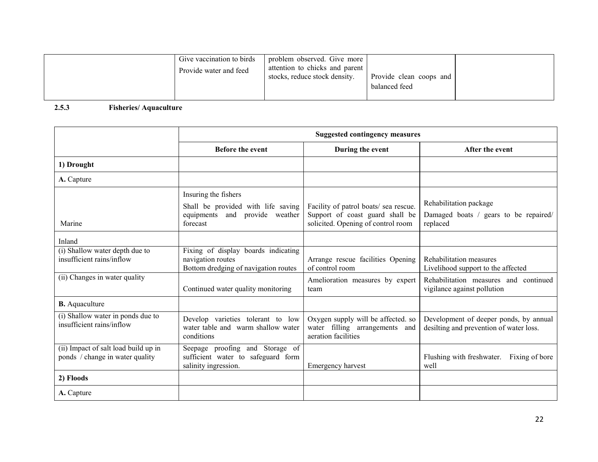| Give vaccination to birds<br>Provide water and feed | problem observed. Give more<br>attention to chicks and parent<br>stocks, reduce stock density. | Provide clean coops and<br>balanced feed |  |
|-----------------------------------------------------|------------------------------------------------------------------------------------------------|------------------------------------------|--|
|-----------------------------------------------------|------------------------------------------------------------------------------------------------|------------------------------------------|--|

#### 2.5.3 Fisheries/ Aquaculture

|                                                                         |                                                                                                          | <b>Suggested contingency measures</b>                                                                          |                                                                                   |
|-------------------------------------------------------------------------|----------------------------------------------------------------------------------------------------------|----------------------------------------------------------------------------------------------------------------|-----------------------------------------------------------------------------------|
|                                                                         | <b>Before the event</b>                                                                                  | During the event                                                                                               | After the event                                                                   |
| 1) Drought                                                              |                                                                                                          |                                                                                                                |                                                                                   |
| A. Capture                                                              |                                                                                                          |                                                                                                                |                                                                                   |
| Marine                                                                  | Insuring the fishers<br>Shall be provided with life saving<br>equipments and provide weather<br>forecast | Facility of patrol boats/ sea rescue.<br>Support of coast guard shall be<br>solicited. Opening of control room | Rehabilitation package<br>Damaged boats / gears to be repaired/<br>replaced       |
| Inland                                                                  |                                                                                                          |                                                                                                                |                                                                                   |
| (i) Shallow water depth due to<br>insufficient rains/inflow             | Fixing of display boards indicating<br>navigation routes<br>Bottom dredging of navigation routes         | Arrange rescue facilities Opening<br>of control room                                                           | Rehabilitation measures<br>Livelihood support to the affected                     |
| (ii) Changes in water quality                                           | Continued water quality monitoring                                                                       | Amelioration measures by expert<br>team                                                                        | Rehabilitation measures and continued<br>vigilance against pollution              |
| <b>B.</b> Aquaculture                                                   |                                                                                                          |                                                                                                                |                                                                                   |
| (i) Shallow water in ponds due to<br>insufficient rains/inflow          | Develop varieties tolerant to low<br>water table and warm shallow water<br>conditions                    | Oxygen supply will be affected. so<br>water filling arrangements and<br>aeration facilities                    | Development of deeper ponds, by annual<br>desilting and prevention of water loss. |
| (ii) Impact of salt load build up in<br>ponds / change in water quality | Seepage proofing and Storage of<br>sufficient water to safeguard form<br>salinity ingression.            | Emergency harvest                                                                                              | Flushing with freshwater.<br>Fixing of bore<br>well                               |
| 2) Floods                                                               |                                                                                                          |                                                                                                                |                                                                                   |
| A. Capture                                                              |                                                                                                          |                                                                                                                |                                                                                   |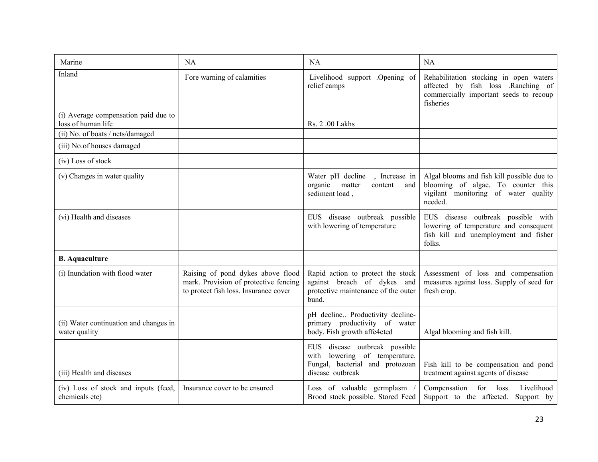| Marine                                                     | <b>NA</b>                                                                                                           | <b>NA</b>                                                                                                             | NA                                                                                                                                  |  |
|------------------------------------------------------------|---------------------------------------------------------------------------------------------------------------------|-----------------------------------------------------------------------------------------------------------------------|-------------------------------------------------------------------------------------------------------------------------------------|--|
| Inland                                                     | Fore warning of calamities                                                                                          | Livelihood support .Opening of<br>relief camps                                                                        | Rehabilitation stocking in open waters<br>affected by fish loss .Ranching of<br>commercially important seeds to recoup<br>fisheries |  |
| (i) Average compensation paid due to<br>loss of human life |                                                                                                                     | Rs. 2 .00 Lakhs                                                                                                       |                                                                                                                                     |  |
| (ii) No. of boats / nets/damaged                           |                                                                                                                     |                                                                                                                       |                                                                                                                                     |  |
| (iii) No.of houses damaged                                 |                                                                                                                     |                                                                                                                       |                                                                                                                                     |  |
| (iv) Loss of stock                                         |                                                                                                                     |                                                                                                                       |                                                                                                                                     |  |
| (v) Changes in water quality                               |                                                                                                                     | Water pH decline<br>, Increase in<br>organic<br>matter<br>content<br>and<br>sediment load,                            | Algal blooms and fish kill possible due to<br>blooming of algae. To counter this<br>vigilant monitoring of water quality<br>needed. |  |
| (vi) Health and diseases                                   |                                                                                                                     | EUS disease outbreak possible<br>with lowering of temperature                                                         | EUS disease outbreak possible with<br>lowering of temperature and consequent<br>fish kill and unemployment and fisher<br>folks.     |  |
| <b>B.</b> Aquaculture                                      |                                                                                                                     |                                                                                                                       |                                                                                                                                     |  |
| (i) Inundation with flood water                            | Raising of pond dykes above flood<br>mark. Provision of protective fencing<br>to protect fish loss. Insurance cover | Rapid action to protect the stock<br>against breach of dykes and<br>protective maintenance of the outer<br>bund.      | Assessment of loss and compensation<br>measures against loss. Supply of seed for<br>fresh crop.                                     |  |
| (ii) Water continuation and changes in<br>water quality    |                                                                                                                     | pH decline Productivity decline-<br>primary productivity of water<br>body. Fish growth affe4cted                      | Algal blooming and fish kill.                                                                                                       |  |
| (iii) Health and diseases                                  |                                                                                                                     | EUS disease outbreak possible<br>with lowering of temperature.<br>Fungal, bacterial and protozoan<br>disease outbreak | Fish kill to be compensation and pond<br>treatment against agents of disease                                                        |  |
| (iv) Loss of stock and inputs (feed,<br>chemicals etc)     | Insurance cover to be ensured                                                                                       | Loss of valuable germplasm<br>Brood stock possible. Stored Feed                                                       | Compensation<br>for<br>loss.<br>Livelihood<br>Support to the affected. Support by                                                   |  |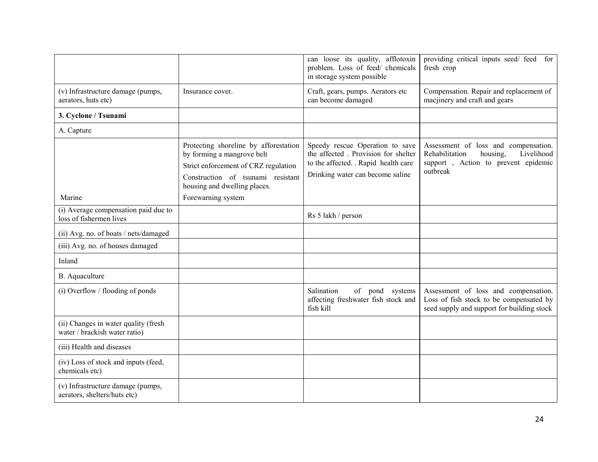|                                                                       |                                                                                                                                                                                  | can loose its quality, afflotoxin<br>problem. Loss of feed/ chemicals<br>in storage system possible                                                | providing critical inputs seed/feed<br>for<br>fresh crop                                                                            |
|-----------------------------------------------------------------------|----------------------------------------------------------------------------------------------------------------------------------------------------------------------------------|----------------------------------------------------------------------------------------------------------------------------------------------------|-------------------------------------------------------------------------------------------------------------------------------------|
| (v) Infrastructure damage (pumps,<br>aerators, huts etc)              | Insurance cover.                                                                                                                                                                 | Craft, gears, pumps. Aerators etc<br>can become damaged                                                                                            | Compensation. Repair and replacement of<br>macjinery and craft and gears                                                            |
| 3. Cyclone / Tsunami                                                  |                                                                                                                                                                                  |                                                                                                                                                    |                                                                                                                                     |
| A. Capture                                                            |                                                                                                                                                                                  |                                                                                                                                                    |                                                                                                                                     |
|                                                                       | Protecting shoreline by afforestation<br>by forming a mangrove belt<br>Strict enforcement of CRZ regulation<br>Construction of tsunami resistant<br>housing and dwelling places. | Speedy rescue Operation to save<br>the affected. Provision for shelter<br>to the affected. . Rapid health care<br>Drinking water can become saline | Assessment of loss and compensation.<br>Rehabilitation<br>Livelihood<br>housing.<br>support, Action to prevent epidemic<br>outbreak |
| Marine                                                                | Forewarning system                                                                                                                                                               |                                                                                                                                                    |                                                                                                                                     |
| (i) Average compensation paid due to<br>loss of fishermen lives       |                                                                                                                                                                                  | Rs 5 lakh / person                                                                                                                                 |                                                                                                                                     |
| (ii) Avg. no. of boats / nets/damaged                                 |                                                                                                                                                                                  |                                                                                                                                                    |                                                                                                                                     |
| (iii) Avg. no. of houses damaged                                      |                                                                                                                                                                                  |                                                                                                                                                    |                                                                                                                                     |
| Inland                                                                |                                                                                                                                                                                  |                                                                                                                                                    |                                                                                                                                     |
| B. Aquaculture                                                        |                                                                                                                                                                                  |                                                                                                                                                    |                                                                                                                                     |
| $(i)$ Overflow / flooding of ponds                                    |                                                                                                                                                                                  | Salination<br>of pond systems<br>affecting freshwater fish stock and<br>fish kill                                                                  | Assessment of loss and compensation.<br>Loss of fish stock to be compensated by<br>seed supply and support for building stock       |
| (ii) Changes in water quality (fresh<br>water / brackish water ratio) |                                                                                                                                                                                  |                                                                                                                                                    |                                                                                                                                     |
| (iii) Health and diseases                                             |                                                                                                                                                                                  |                                                                                                                                                    |                                                                                                                                     |
| (iv) Loss of stock and inputs (feed,<br>chemicals etc)                |                                                                                                                                                                                  |                                                                                                                                                    |                                                                                                                                     |
| (v) Infrastructure damage (pumps,<br>aerators, shelters/huts etc)     |                                                                                                                                                                                  |                                                                                                                                                    |                                                                                                                                     |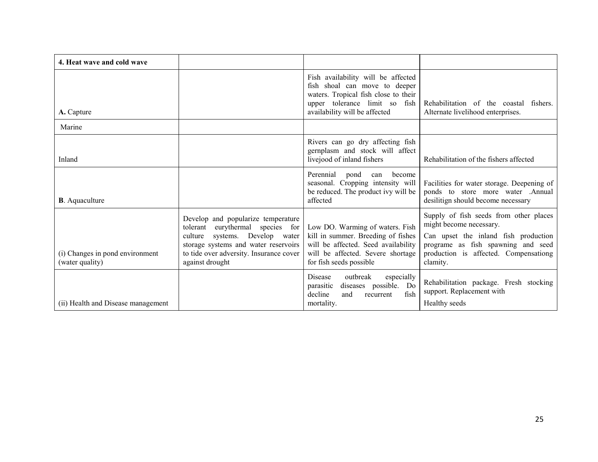| 4. Heat wave and cold wave                         |                                                                                                                                                                                                                      |                                                                                                                                                                               |                                                                                                                                                                                                      |
|----------------------------------------------------|----------------------------------------------------------------------------------------------------------------------------------------------------------------------------------------------------------------------|-------------------------------------------------------------------------------------------------------------------------------------------------------------------------------|------------------------------------------------------------------------------------------------------------------------------------------------------------------------------------------------------|
| A. Capture                                         |                                                                                                                                                                                                                      | Fish availability will be affected<br>fish shoal can move to deeper<br>waters. Tropical fish close to their<br>upper tolerance limit so fish<br>availability will be affected | Rehabilitation of the coastal fishers.<br>Alternate livelihood enterprises.                                                                                                                          |
| Marine                                             |                                                                                                                                                                                                                      |                                                                                                                                                                               |                                                                                                                                                                                                      |
| Inland                                             |                                                                                                                                                                                                                      | Rivers can go dry affecting fish<br>gernplasm and stock will affect<br>livejood of inland fishers                                                                             | Rehabilitation of the fishers affected                                                                                                                                                               |
| <b>B</b> . Aquaculture                             |                                                                                                                                                                                                                      | Perennial<br>pond<br>become<br>can<br>seasonal. Cropping intensity will<br>be reduced. The product ivy will be<br>affected                                                    | Facilities for water storage. Deepening of<br>ponds to store more water .Annual<br>desilitign should become necessary                                                                                |
| (i) Changes in pond environment<br>(water quality) | Develop and popularize temperature<br>eurythermal species for<br>tolerant<br>systems. Develop water<br>culture<br>storage systems and water reservoirs<br>to tide over adversity. Insurance cover<br>against drought | Low DO. Warming of waters. Fish<br>kill in summer. Breeding of fishes<br>will be affected. Seed availability<br>will be affected. Severe shortage<br>for fish seeds possible  | Supply of fish seeds from other places<br>might become necessary.<br>Can upset the inland fish production<br>programe as fish spawning and seed<br>production is affected. Compensationg<br>clamity. |
| (ii) Health and Disease management                 |                                                                                                                                                                                                                      | outbreak<br><b>Disease</b><br>especially<br>diseases possible. Do<br>parasitic<br>decline<br>and<br>fish<br>recurrent<br>mortality.                                           | Rehabilitation package. Fresh stocking<br>support. Replacement with<br>Healthy seeds                                                                                                                 |